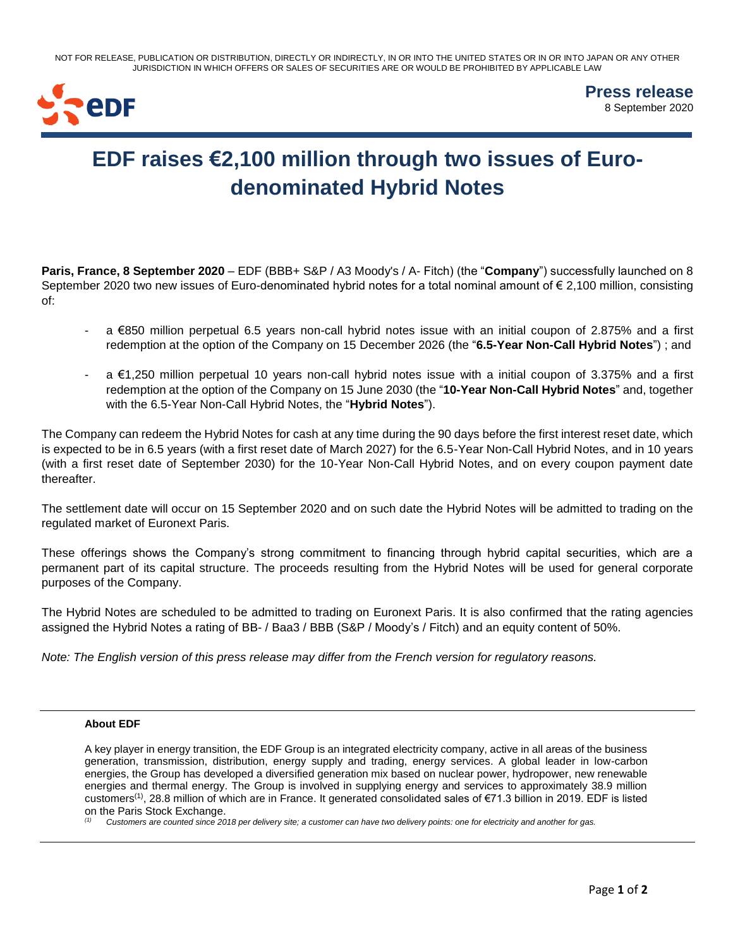NOT FOR RELEASE, PUBLICATION OR DISTRIBUTION, DIRECTLY OR INDIRECTLY, IN OR INTO THE UNITED STATES OR IN OR INTO JAPAN OR ANY OTHER JURISDICTION IN WHICH OFFERS OR SALES OF SECURITIES ARE OR WOULD BE PROHIBITED BY APPLICABLE LAW



**Press release** 8 September 2020

## **EDF raises €2,100 million through two issues of Eurodenominated Hybrid Notes**

**Paris, France, 8 September 2020** – EDF (BBB+ S&P / A3 Moody's / A- Fitch) (the "**Company**") successfully launched on 8 September 2020 two new issues of Euro-denominated hybrid notes for a total nominal amount of € 2,100 million, consisting of:

- a €850 million perpetual 6.5 years non-call hybrid notes issue with an initial coupon of 2.875% and a first redemption at the option of the Company on 15 December 2026 (the "**6.5-Year Non-Call Hybrid Notes**") ; and
- a €1,250 million perpetual 10 years non-call hybrid notes issue with a initial coupon of 3.375% and a first redemption at the option of the Company on 15 June 2030 (the "**10-Year Non-Call Hybrid Notes**" and, together with the 6.5-Year Non-Call Hybrid Notes, the "**Hybrid Notes**").

The Company can redeem the Hybrid Notes for cash at any time during the 90 days before the first interest reset date, which is expected to be in 6.5 years (with a first reset date of March 2027) for the 6.5-Year Non-Call Hybrid Notes, and in 10 years (with a first reset date of September 2030) for the 10-Year Non-Call Hybrid Notes, and on every coupon payment date thereafter.

The settlement date will occur on 15 September 2020 and on such date the Hybrid Notes will be admitted to trading on the regulated market of Euronext Paris.

These offerings shows the Company's strong commitment to financing through hybrid capital securities, which are a permanent part of its capital structure. The proceeds resulting from the Hybrid Notes will be used for general corporate purposes of the Company.

The Hybrid Notes are scheduled to be admitted to trading on Euronext Paris. It is also confirmed that the rating agencies assigned the Hybrid Notes a rating of BB- / Baa3 / BBB (S&P / Moody's / Fitch) and an equity content of 50%.

*Note: The English version of this press release may differ from the French version for regulatory reasons.*

## **About EDF**

A key player in energy transition, the EDF Group is an integrated electricity company, active in all areas of the business generation, transmission, distribution, energy supply and trading, energy services. A global leader in low-carbon energies, the Group has developed a diversified generation mix based on nuclear power, hydropower, new renewable energies and thermal energy. The Group is involved in supplying energy and services to approximately 38.9 million customers<sup>(1)</sup>, 28.8 million of which are in France. It generated consolidated sales of  $\epsilon$ 71.3 billion in 2019. EDF is listed on the Paris Stock Exchange.

*(1) Customers are counted since 2018 per delivery site; a customer can have two delivery points: one for electricity and another for gas.*